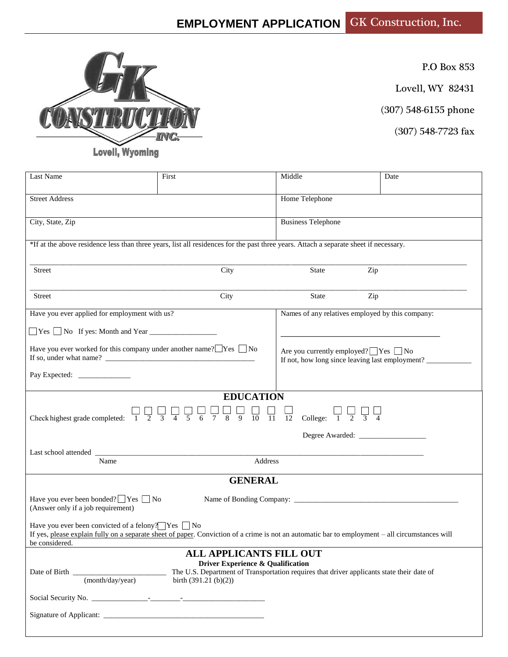

P.O Box 853

Lovell, WY 82431

(307) 548-6155 phone

(307) 548-7723 fax

**Lovell, Wyoming** 

| Last Name                                                                                                                                                                                                                                                    | First                                                                                                                                                                                                                                                                                                                                                                                                      | Middle                                                                                              | Date |  |  |  |  |
|--------------------------------------------------------------------------------------------------------------------------------------------------------------------------------------------------------------------------------------------------------------|------------------------------------------------------------------------------------------------------------------------------------------------------------------------------------------------------------------------------------------------------------------------------------------------------------------------------------------------------------------------------------------------------------|-----------------------------------------------------------------------------------------------------|------|--|--|--|--|
| <b>Street Address</b>                                                                                                                                                                                                                                        |                                                                                                                                                                                                                                                                                                                                                                                                            | Home Telephone                                                                                      |      |  |  |  |  |
| City, State, Zip                                                                                                                                                                                                                                             |                                                                                                                                                                                                                                                                                                                                                                                                            | <b>Business Telephone</b>                                                                           |      |  |  |  |  |
| *If at the above residence less than three years, list all residences for the past three years. Attach a separate sheet if necessary.                                                                                                                        |                                                                                                                                                                                                                                                                                                                                                                                                            |                                                                                                     |      |  |  |  |  |
| Street                                                                                                                                                                                                                                                       | City                                                                                                                                                                                                                                                                                                                                                                                                       | Zip<br><b>State</b>                                                                                 |      |  |  |  |  |
| Street                                                                                                                                                                                                                                                       | City                                                                                                                                                                                                                                                                                                                                                                                                       | <b>State</b><br>Zip                                                                                 |      |  |  |  |  |
| Have you ever applied for employment with us?                                                                                                                                                                                                                |                                                                                                                                                                                                                                                                                                                                                                                                            | Names of any relatives employed by this company:                                                    |      |  |  |  |  |
| $\Box$ Yes $\Box$ No If yes: Month and Year $\Box$                                                                                                                                                                                                           |                                                                                                                                                                                                                                                                                                                                                                                                            |                                                                                                     |      |  |  |  |  |
| Have you ever worked for this company under another name? $\Box$ Yes $\Box$ No                                                                                                                                                                               |                                                                                                                                                                                                                                                                                                                                                                                                            | Are you currently employed? $\Box$ Yes $\Box$ No<br>If not, how long since leaving last employment? |      |  |  |  |  |
|                                                                                                                                                                                                                                                              |                                                                                                                                                                                                                                                                                                                                                                                                            |                                                                                                     |      |  |  |  |  |
|                                                                                                                                                                                                                                                              | <b>EDUCATION</b><br>$\begin{array}{ c c c c c c c c } \hline \rule{0pt}{1} & \rule{0pt}{1.25cm} \rule{0pt}{1.25cm} & \rule{0pt}{1.25cm} & \rule{0pt}{1.25cm} & \rule{0pt}{1.25cm} & \rule{0pt}{1.25cm} & \rule{0pt}{1.25cm} & \rule{0pt}{1.25cm} & \rule{0pt}{1.25cm} & \rule{0pt}{1.25cm} & \rule{0pt}{1.25cm} & \rule{0pt}{1.25cm} & \rule{0pt}{1.25cm} & \rule{0pt}{1.25cm} & \rule{0$<br>$\frac{1}{5}$ |                                                                                                     |      |  |  |  |  |
| Check highest grade completed: $\begin{array}{ccc} 1 & 2 & 3 & 4 \end{array}$                                                                                                                                                                                |                                                                                                                                                                                                                                                                                                                                                                                                            | College: $\begin{array}{ccc} & \square & \square & \square \\ \square & 2 & 3 & 4 \end{array}$      |      |  |  |  |  |
|                                                                                                                                                                                                                                                              |                                                                                                                                                                                                                                                                                                                                                                                                            |                                                                                                     |      |  |  |  |  |
| Name                                                                                                                                                                                                                                                         | Address                                                                                                                                                                                                                                                                                                                                                                                                    |                                                                                                     |      |  |  |  |  |
|                                                                                                                                                                                                                                                              | <b>GENERAL</b>                                                                                                                                                                                                                                                                                                                                                                                             |                                                                                                     |      |  |  |  |  |
|                                                                                                                                                                                                                                                              |                                                                                                                                                                                                                                                                                                                                                                                                            |                                                                                                     |      |  |  |  |  |
| Have you ever been bonded? $\Box$ Yes $\Box$ No<br>(Answer only if a job requirement)                                                                                                                                                                        |                                                                                                                                                                                                                                                                                                                                                                                                            |                                                                                                     |      |  |  |  |  |
| Have you ever been convicted of a felony? $\Box$ Yes $\Box$ No<br>If yes, please explain fully on a separate sheet of paper. Conviction of a crime is not an automatic bar to employment – all circumstances will<br>be considered.                          |                                                                                                                                                                                                                                                                                                                                                                                                            |                                                                                                     |      |  |  |  |  |
| <b>ALL APPLICANTS FILL OUT</b><br>Driver Experience & Qualification<br>The U.S. Department of Transportation requires that driver applicants state their date of<br>Date of Birth<br>$\overline{\phantom{a}}$<br>(month/day/year)<br>birth $(391.21 (b)(2))$ |                                                                                                                                                                                                                                                                                                                                                                                                            |                                                                                                     |      |  |  |  |  |
|                                                                                                                                                                                                                                                              |                                                                                                                                                                                                                                                                                                                                                                                                            |                                                                                                     |      |  |  |  |  |
|                                                                                                                                                                                                                                                              |                                                                                                                                                                                                                                                                                                                                                                                                            |                                                                                                     |      |  |  |  |  |
|                                                                                                                                                                                                                                                              |                                                                                                                                                                                                                                                                                                                                                                                                            |                                                                                                     |      |  |  |  |  |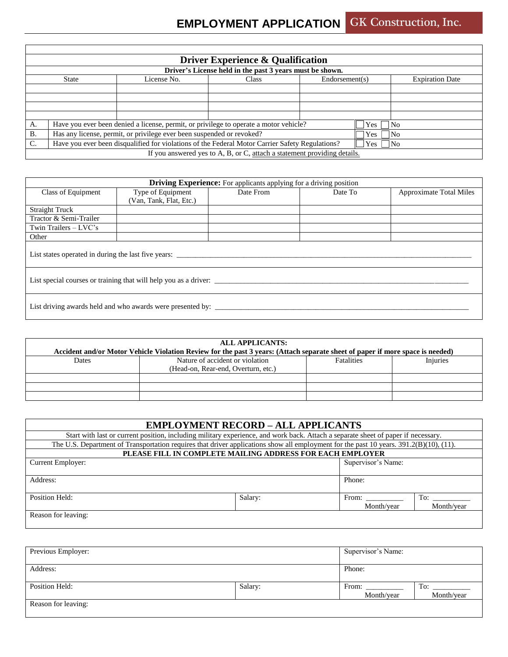|           | <b>Driver Experience &amp; Qualification</b>                                                                  |                                                                                       |                                                                          |     |                |  |  |  |  |  |  |
|-----------|---------------------------------------------------------------------------------------------------------------|---------------------------------------------------------------------------------------|--------------------------------------------------------------------------|-----|----------------|--|--|--|--|--|--|
|           | Driver's License held in the past 3 years must be shown.                                                      |                                                                                       |                                                                          |     |                |  |  |  |  |  |  |
|           | Class<br>Endorsement(s)<br><b>Expiration Date</b><br>State<br>License No.                                     |                                                                                       |                                                                          |     |                |  |  |  |  |  |  |
|           |                                                                                                               |                                                                                       |                                                                          |     |                |  |  |  |  |  |  |
|           |                                                                                                               |                                                                                       |                                                                          |     |                |  |  |  |  |  |  |
|           |                                                                                                               |                                                                                       |                                                                          |     |                |  |  |  |  |  |  |
|           |                                                                                                               |                                                                                       |                                                                          |     |                |  |  |  |  |  |  |
| А.        |                                                                                                               | Have you ever been denied a license, permit, or privilege to operate a motor vehicle? |                                                                          | Yes | N <sub>0</sub> |  |  |  |  |  |  |
| <b>B.</b> | Has any license, permit, or privilege ever been suspended or revoked?<br> No<br>Yes                           |                                                                                       |                                                                          |     |                |  |  |  |  |  |  |
| C.        | Have you ever been disqualified for violations of the Federal Motor Carrier Safety Regulations?<br> No<br>Yes |                                                                                       |                                                                          |     |                |  |  |  |  |  |  |
|           |                                                                                                               |                                                                                       | If you answered yes to A, B, or C, attach a statement providing details. |     |                |  |  |  |  |  |  |

| <b>Driving Experience:</b> For applicants applying for a driving position |                         |           |         |                                |  |  |  |
|---------------------------------------------------------------------------|-------------------------|-----------|---------|--------------------------------|--|--|--|
| Class of Equipment                                                        | Type of Equipment       | Date From | Date To | <b>Approximate Total Miles</b> |  |  |  |
|                                                                           | (Van, Tank, Flat, Etc.) |           |         |                                |  |  |  |
| <b>Straight Truck</b>                                                     |                         |           |         |                                |  |  |  |
| Tractor & Semi-Trailer                                                    |                         |           |         |                                |  |  |  |
| Twin Trailers - LVC's                                                     |                         |           |         |                                |  |  |  |
| Other                                                                     |                         |           |         |                                |  |  |  |
| List states operated in during the last five years:                       |                         |           |         |                                |  |  |  |
| List special courses or training that will help you as a driver:          |                         |           |         |                                |  |  |  |
| List driving awards held and who awards were presented by:                |                         |           |         |                                |  |  |  |

| <b>ALL APPLICANTS:</b><br>Accident and/or Motor Vehicle Violation Review for the past 3 years: (Attach separate sheet of paper if more space is needed) |                                                                        |                   |          |  |  |  |  |  |  |
|---------------------------------------------------------------------------------------------------------------------------------------------------------|------------------------------------------------------------------------|-------------------|----------|--|--|--|--|--|--|
| <b>Dates</b>                                                                                                                                            | Nature of accident or violation<br>(Head-on, Rear-end, Overturn, etc.) | <b>Fatalities</b> | Injuries |  |  |  |  |  |  |
|                                                                                                                                                         |                                                                        |                   |          |  |  |  |  |  |  |
|                                                                                                                                                         |                                                                        |                   |          |  |  |  |  |  |  |
|                                                                                                                                                         |                                                                        |                   |          |  |  |  |  |  |  |

| <b>EMPLOYMENT RECORD - ALL APPLICANTS</b>                                                                                              |            |                    |     |  |  |  |
|----------------------------------------------------------------------------------------------------------------------------------------|------------|--------------------|-----|--|--|--|
| Start with last or current position, including military experience, and work back. Attach a separate sheet of paper if necessary.      |            |                    |     |  |  |  |
| The U.S. Department of Transportation requires that driver applications show all employment for the past 10 years. 391.2(B)(10), (11). |            |                    |     |  |  |  |
| PLEASE FILL IN COMPLETE MAILING ADDRESS FOR EACH EMPLOYER                                                                              |            |                    |     |  |  |  |
| <b>Current Employer:</b>                                                                                                               |            | Supervisor's Name: |     |  |  |  |
|                                                                                                                                        |            |                    |     |  |  |  |
| Address:                                                                                                                               |            | Phone:             |     |  |  |  |
|                                                                                                                                        |            |                    |     |  |  |  |
| Position Held:                                                                                                                         | Salary:    | From:              | To: |  |  |  |
|                                                                                                                                        | Month/year | Month/year         |     |  |  |  |
| Reason for leaving:                                                                                                                    |            |                    |     |  |  |  |
|                                                                                                                                        |            |                    |     |  |  |  |

| Previous Employer:  |         | Supervisor's Name: |            |
|---------------------|---------|--------------------|------------|
|                     |         |                    |            |
| Address:            |         | Phone:             |            |
|                     |         |                    |            |
| Position Held:      | Salary: | From:              | To:        |
|                     |         | Month/year         | Month/year |
| Reason for leaving: |         |                    |            |
|                     |         |                    |            |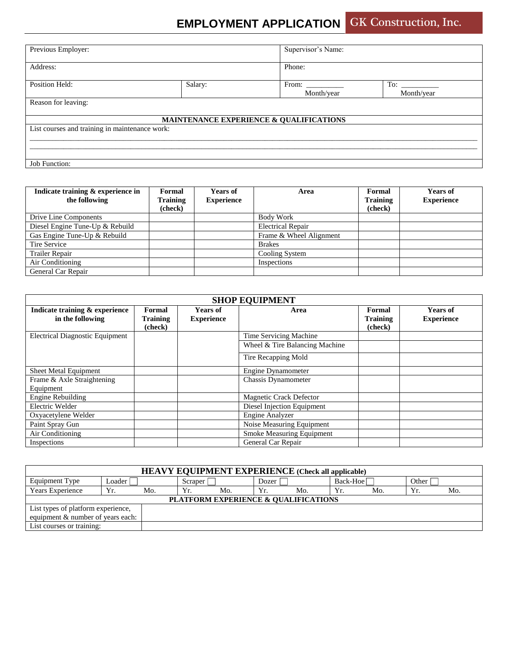## **EMPLOYMENT APPLICATION GK Construction, Inc.**

| Previous Employer:                             |         | Supervisor's Name:                      |                   |  |  |  |
|------------------------------------------------|---------|-----------------------------------------|-------------------|--|--|--|
| Address:                                       |         | Phone:                                  |                   |  |  |  |
| Position Held:                                 | Salary: | From:<br>Month/year                     | To:<br>Month/year |  |  |  |
| Reason for leaving:                            |         |                                         |                   |  |  |  |
|                                                |         | MAINTENANCE EXPERIENCE & QUALIFICATIONS |                   |  |  |  |
| List courses and training in maintenance work: |         |                                         |                   |  |  |  |
|                                                |         |                                         |                   |  |  |  |
| Job Function:                                  |         |                                         |                   |  |  |  |

| Indicate training & experience in | Formal          | <b>Years of</b>   | Area                     | Formal   | <b>Years of</b>   |
|-----------------------------------|-----------------|-------------------|--------------------------|----------|-------------------|
| the following                     | <b>Training</b> | <b>Experience</b> |                          | Training | <b>Experience</b> |
|                                   | (check)         |                   |                          | (check)  |                   |
| Drive Line Components             |                 |                   | <b>Body Work</b>         |          |                   |
| Diesel Engine Tune-Up & Rebuild   |                 |                   | <b>Electrical Repair</b> |          |                   |
| Gas Engine Tune-Up & Rebuild      |                 |                   | Frame & Wheel Alignment  |          |                   |
| Tire Service                      |                 |                   | <b>Brakes</b>            |          |                   |
| Trailer Repair                    |                 |                   | Cooling System           |          |                   |
| Air Conditioning                  |                 |                   | Inspections              |          |                   |
| General Car Repair                |                 |                   |                          |          |                   |

| <b>SHOP EQUIPMENT</b>                  |                 |                   |                                |          |                   |  |  |
|----------------------------------------|-----------------|-------------------|--------------------------------|----------|-------------------|--|--|
| Indicate training & experience         | Formal          | <b>Years of</b>   | Area                           | Formal   | Years of          |  |  |
| in the following                       | <b>Training</b> | <b>Experience</b> |                                | Training | <b>Experience</b> |  |  |
|                                        | (check)         |                   |                                | (check)  |                   |  |  |
| <b>Electrical Diagnostic Equipment</b> |                 |                   | Time Servicing Machine         |          |                   |  |  |
|                                        |                 |                   | Wheel & Tire Balancing Machine |          |                   |  |  |
|                                        |                 |                   | Tire Recapping Mold            |          |                   |  |  |
| Sheet Metal Equipment                  |                 |                   | Engine Dynamometer             |          |                   |  |  |
| Frame & Axle Straightening             |                 |                   | <b>Chassis Dynamometer</b>     |          |                   |  |  |
| Equipment                              |                 |                   |                                |          |                   |  |  |
| Engine Rebuilding                      |                 |                   | Magnetic Crack Defector        |          |                   |  |  |
| Electric Welder                        |                 |                   | Diesel Injection Equipment     |          |                   |  |  |
| Oxyacetylene Welder                    |                 |                   | Engine Analyzer                |          |                   |  |  |
| Paint Spray Gun                        |                 |                   | Noise Measuring Equipment      |          |                   |  |  |
| Air Conditioning                       |                 |                   | Smoke Measuring Equipment      |          |                   |  |  |
| Inspections                            |                 |                   | General Car Repair             |          |                   |  |  |

| <b>HEAVY EQUIPMENT EXPERIENCE</b> (Check all applicable) |                                      |     |         |     |       |     |          |     |       |     |
|----------------------------------------------------------|--------------------------------------|-----|---------|-----|-------|-----|----------|-----|-------|-----|
| Equipment Type                                           | Loader                               |     | Scraper |     | Dozer |     | Back-Hoe |     | Other |     |
| <b>Years Experience</b>                                  | Yr.                                  | Mo. | Yr.     | Mo. | Yr.   | Mo. | Yr.      | Mo. | Yr.   | Mo. |
|                                                          | PLATFORM EXPERIENCE & QUALIFICATIONS |     |         |     |       |     |          |     |       |     |
|                                                          | List types of platform experience,   |     |         |     |       |     |          |     |       |     |
| equipment & number of years each:                        |                                      |     |         |     |       |     |          |     |       |     |
| List courses or training:                                |                                      |     |         |     |       |     |          |     |       |     |